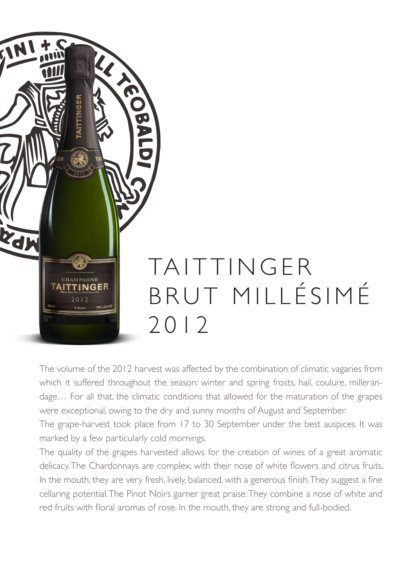

The volume of the 2012 harvest was affected by the combination of climatic vagaries from which it suffered throughout the season: winter and spring frosts, hail, coulure, millerandage… For all that, the climatic conditions that allowed for the maturation of the grapes were exceptional, owing to the dry and sunny months of August and September.

The grape-harvest took place from 17 to 30 September under the best auspices. It was marked by a few particularly cold mornings.

The quality of the grapes harvested allows for the creation of wines of a great aromatic delicacy. The Chardonnays are complex, with their nose of white flowers and citrus fruits. In the mouth, they are very fresh, lively, balanced, with a generous finish. They suggest a fine cellaring potential. The Pinot Noirs garner great praise. They combine a nose of white and red fruits with floral aromas of rose. In the mouth, they are strong and full-bodied.